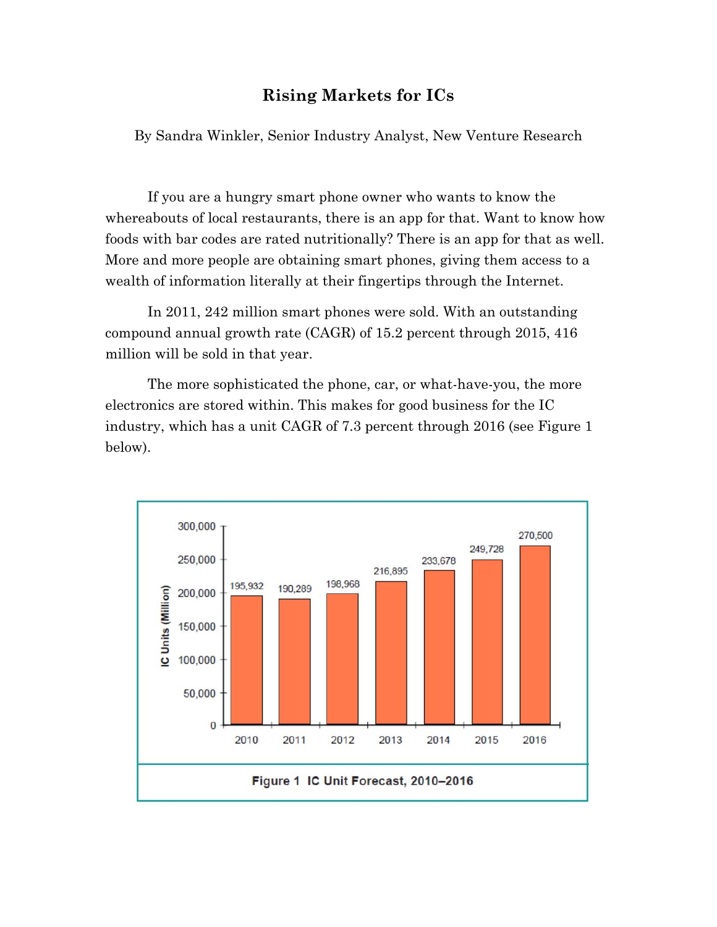## **Rising Markets for ICs**

By Sandra Winkler, Senior Industry Analyst, New Venture Research

If you are a hungry smart phone owner who wants to know the whereabouts of local restaurants, there is an app for that. Want to know how foods with bar codes are rated nutritionally? There is an app for that as well. More and more people are obtaining smart phones, giving them access to a wealth of information literally at their fingertips through the Internet.

In 2011, 242 million smart phones were sold. With an outstanding compound annual growth rate (CAGR) of 15.2 percent through 2015, 416 million will be sold in that year.

The more sophisticated the phone, car, or what-have-you, the more electronics are stored within. This makes for good business for the IC industry, which has a unit CAGR of 7.3 percent through 2016 (see Figure 1 below).

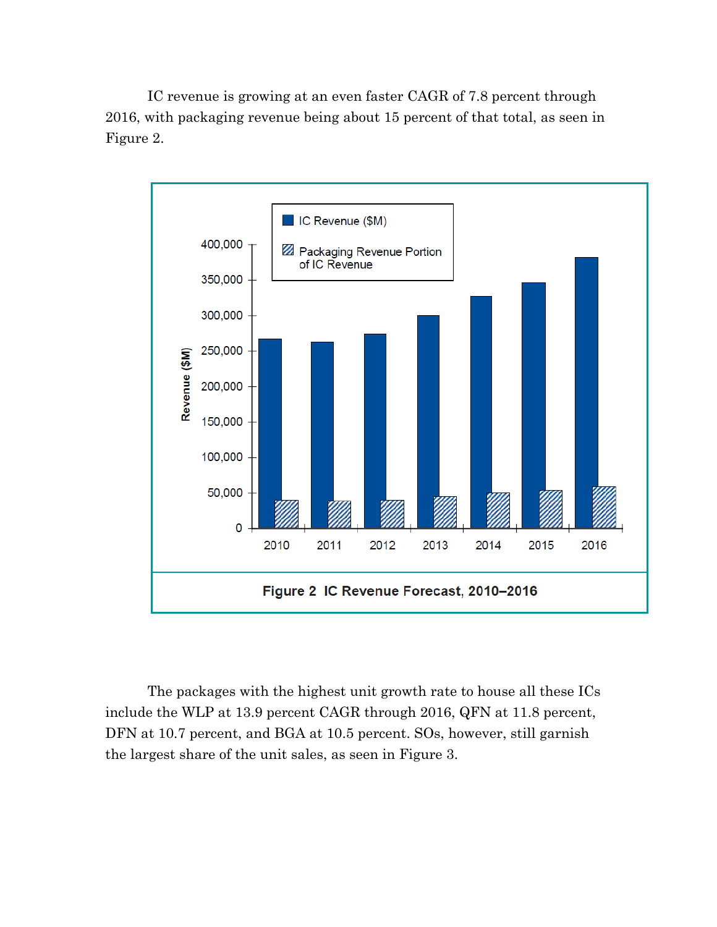IC revenue is growing at an even faster CAGR of 7.8 percent through 2016, with packaging revenue being about 15 percent of that total, as seen in Figure 2.



The packages with the highest unit growth rate to house all these ICs include the WLP at 13.9 percent CAGR through 2016, QFN at 11.8 percent, DFN at 10.7 percent, and BGA at 10.5 percent. SOs, however, still garnish the largest share of the unit sales, as seen in Figure 3.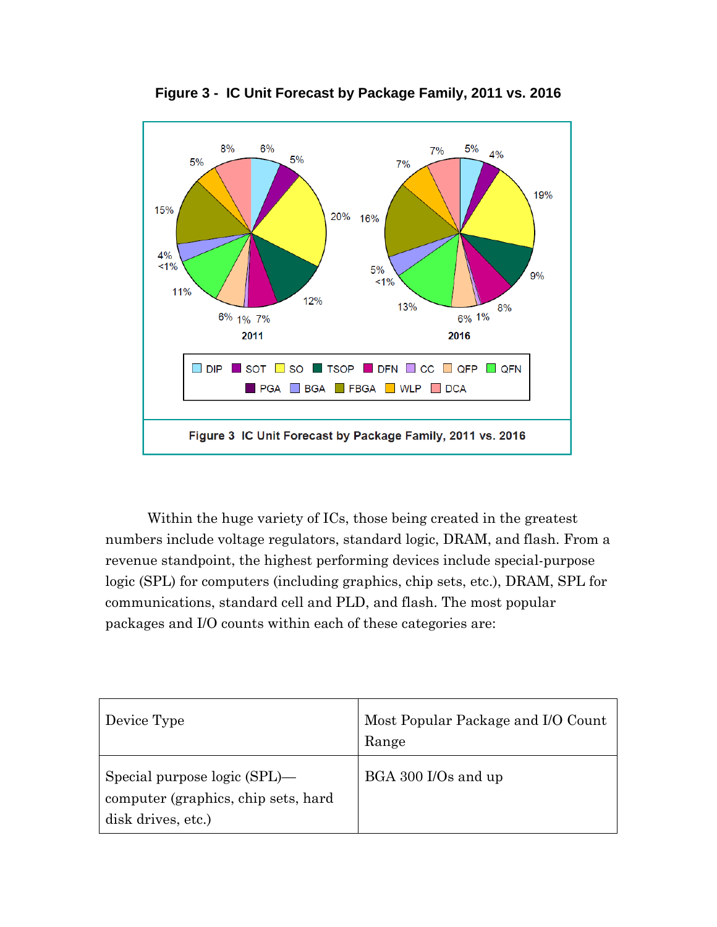

**Figure 3 - IC Unit Forecast by Package Family, 2011 vs. 2016** 

Within the huge variety of ICs, those being created in the greatest numbers include voltage regulators, standard logic, DRAM, and flash. From a revenue standpoint, the highest performing devices include special-purpose logic (SPL) for computers (including graphics, chip sets, etc.), DRAM, SPL for communications, standard cell and PLD, and flash. The most popular packages and I/O counts within each of these categories are:

| Device Type                                                                               | Most Popular Package and I/O Count<br>Range |
|-------------------------------------------------------------------------------------------|---------------------------------------------|
| Special purpose logic (SPL)—<br>computer (graphics, chip sets, hard<br>disk drives, etc.) | BGA 300 I/Os and up                         |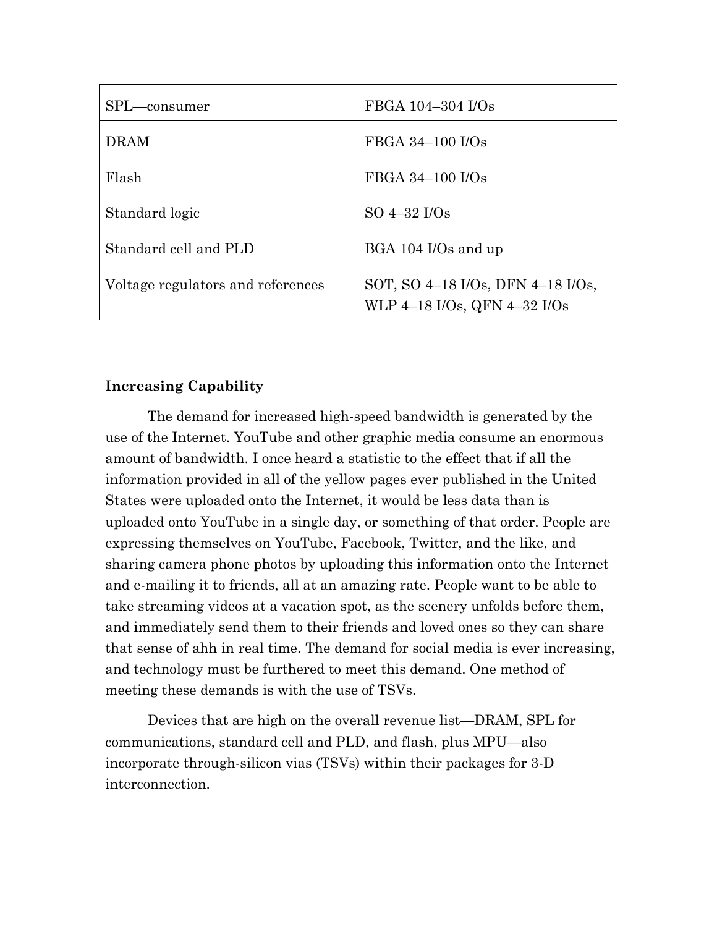| SPL-consumer                      | FBGA 104-304 I/Os                                                 |
|-----------------------------------|-------------------------------------------------------------------|
| <b>DRAM</b>                       | FBGA 34-100 I/Os                                                  |
| Flash                             | FBGA 34-100 I/Os                                                  |
| Standard logic                    | $SO\ 4-32\ I/Os$                                                  |
| Standard cell and PLD             | BGA 104 I/Os and up                                               |
| Voltage regulators and references | SOT, SO 4-18 I/Os, DFN 4-18 I/Os,<br>WLP 4-18 I/Os, QFN 4-32 I/Os |

## **Increasing Capability**

The demand for increased high-speed bandwidth is generated by the use of the Internet. YouTube and other graphic media consume an enormous amount of bandwidth. I once heard a statistic to the effect that if all the information provided in all of the yellow pages ever published in the United States were uploaded onto the Internet, it would be less data than is uploaded onto YouTube in a single day, or something of that order. People are expressing themselves on YouTube, Facebook, Twitter, and the like, and sharing camera phone photos by uploading this information onto the Internet and e-mailing it to friends, all at an amazing rate. People want to be able to take streaming videos at a vacation spot, as the scenery unfolds before them, and immediately send them to their friends and loved ones so they can share that sense of ahh in real time. The demand for social media is ever increasing, and technology must be furthered to meet this demand. One method of meeting these demands is with the use of TSVs.

Devices that are high on the overall revenue list—DRAM, SPL for communications, standard cell and PLD, and flash, plus MPU—also incorporate through-silicon vias (TSVs) within their packages for 3-D interconnection.